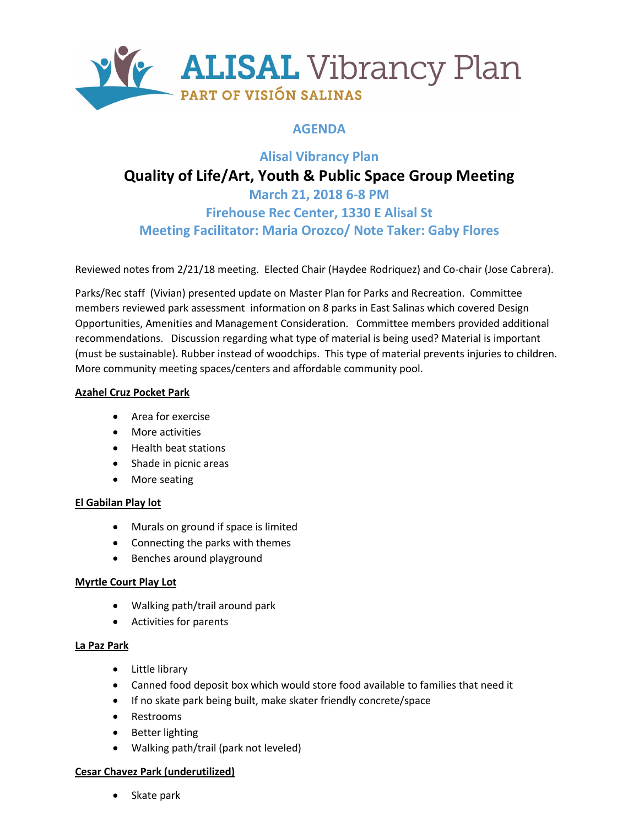

# **AGENDA**

# **Alisal Vibrancy Plan Quality of Life/Art, Youth & Public Space Group Meeting March 21, 2018 6-8 PM Firehouse Rec Center, 1330 E Alisal St**

**Meeting Facilitator: Maria Orozco/ Note Taker: Gaby Flores**

Reviewed notes from 2/21/18 meeting. Elected Chair (Haydee Rodriquez) and Co-chair (Jose Cabrera).

Parks/Rec staff (Vivian) presented update on Master Plan for Parks and Recreation. Committee members reviewed park assessment information on 8 parks in East Salinas which covered Design Opportunities, Amenities and Management Consideration. Committee members provided additional recommendations. Discussion regarding what type of material is being used? Material is important (must be sustainable). Rubber instead of woodchips. This type of material prevents injuries to children. More community meeting spaces/centers and affordable community pool.

## **Azahel Cruz Pocket Park**

- Area for exercise
- More activities
- Health beat stations
- Shade in picnic areas
- More seating

## **El Gabilan Play lot**

- Murals on ground if space is limited
- Connecting the parks with themes
- Benches around playground

## **Myrtle Court Play Lot**

- Walking path/trail around park
- Activities for parents

## **La Paz Park**

- Little library
- Canned food deposit box which would store food available to families that need it
- If no skate park being built, make skater friendly concrete/space
- Restrooms
- Better lighting
- Walking path/trail (park not leveled)

## **Cesar Chavez Park (underutilized)**

• Skate park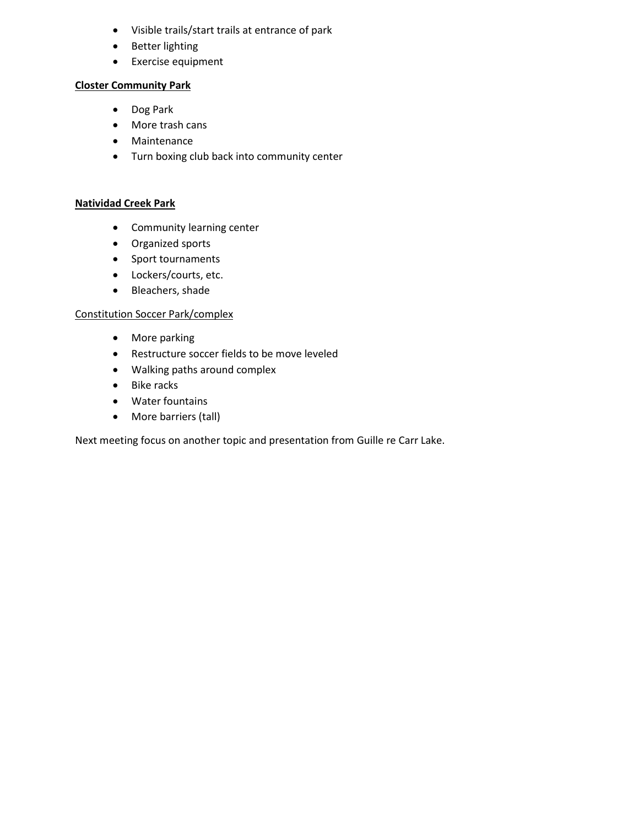- Visible trails/start trails at entrance of park
- Better lighting
- Exercise equipment

#### **Closter Community Park**

- Dog Park
- More trash cans
- Maintenance
- Turn boxing club back into community center

#### **Natividad Creek Park**

- Community learning center
- Organized sports
- Sport tournaments
- Lockers/courts, etc.
- Bleachers, shade

#### Constitution Soccer Park/complex

- More parking
- Restructure soccer fields to be move leveled
- Walking paths around complex
- Bike racks
- Water fountains
- More barriers (tall)

Next meeting focus on another topic and presentation from Guille re Carr Lake.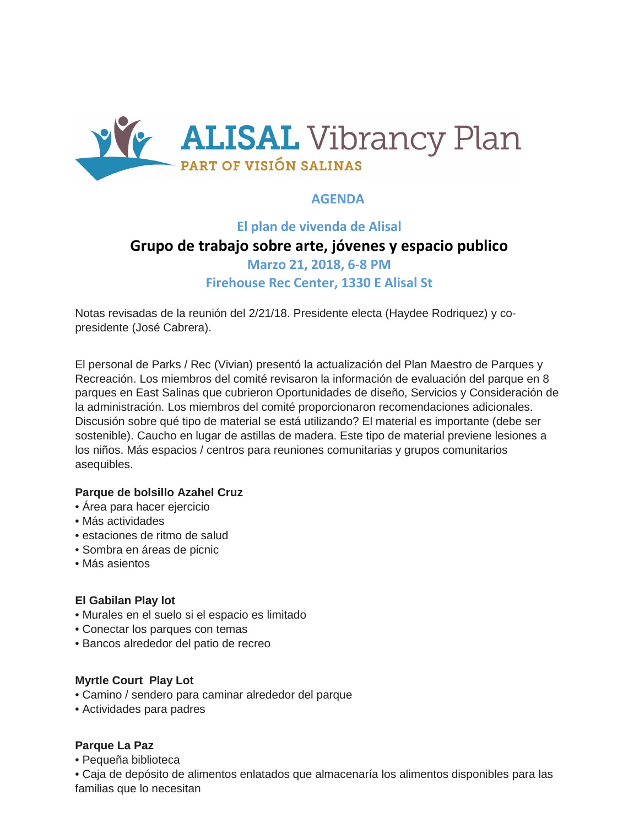

# **AGENDA**

# **El plan de vivenda de Alisal Grupo de trabajo sobre arte, jóvenes y espacio publico Marzo 21, 2018, 6-8 PM Firehouse Rec Center, 1330 E Alisal St**

Notas revisadas de la reunión del 2/21/18. Presidente electa (Haydee Rodriquez) y copresidente (José Cabrera).

El personal de Parks / Rec (Vivian) presentó la actualización del Plan Maestro de Parques y Recreación. Los miembros del comité revisaron la información de evaluación del parque en 8 parques en East Salinas que cubrieron Oportunidades de diseño, Servicios y Consideración de la administración. Los miembros del comité proporcionaron recomendaciones adicionales. Discusión sobre qué tipo de material se está utilizando? El material es importante (debe ser sostenible). Caucho en lugar de astillas de madera. Este tipo de material previene lesiones a los niños. Más espacios / centros para reuniones comunitarias y grupos comunitarios asequibles.

## **Parque de bolsillo Azahel Cruz**

- Área para hacer ejercicio
- Más actividades
- estaciones de ritmo de salud
- Sombra en áreas de picnic
- Más asientos

## **El Gabilan Play lot**

- Murales en el suelo si el espacio es limitado
- Conectar los parques con temas
- Bancos alrededor del patio de recreo

## **Myrtle Court Play Lot**

- Camino / sendero para caminar alrededor del parque
- Actividades para padres

## **Parque La Paz**

• Pequeña biblioteca

• Caja de depósito de alimentos enlatados que almacenaría los alimentos disponibles para las familias que lo necesitan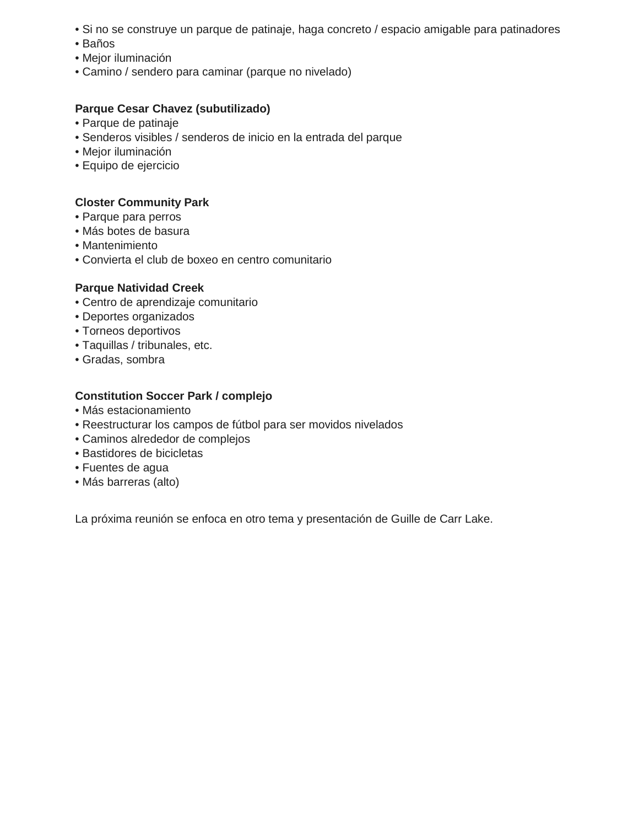- Si no se construye un parque de patinaje, haga concreto / espacio amigable para patinadores
- Baños
- Mejor iluminación
- Camino / sendero para caminar (parque no nivelado)

# **Parque Cesar Chavez (subutilizado)**

- Parque de patinaje
- Senderos visibles / senderos de inicio en la entrada del parque
- Mejor iluminación
- Equipo de ejercicio

## **Closter Community Park**

- Parque para perros
- Más botes de basura
- Mantenimiento
- Convierta el club de boxeo en centro comunitario

## **Parque Natividad Creek**

- Centro de aprendizaje comunitario
- Deportes organizados
- Torneos deportivos
- Taquillas / tribunales, etc.
- Gradas, sombra

## **Constitution Soccer Park / complejo**

- Más estacionamiento
- Reestructurar los campos de fútbol para ser movidos nivelados
- Caminos alrededor de complejos
- Bastidores de bicicletas
- Fuentes de agua
- Más barreras (alto)

La próxima reunión se enfoca en otro tema y presentación de Guille de Carr Lake.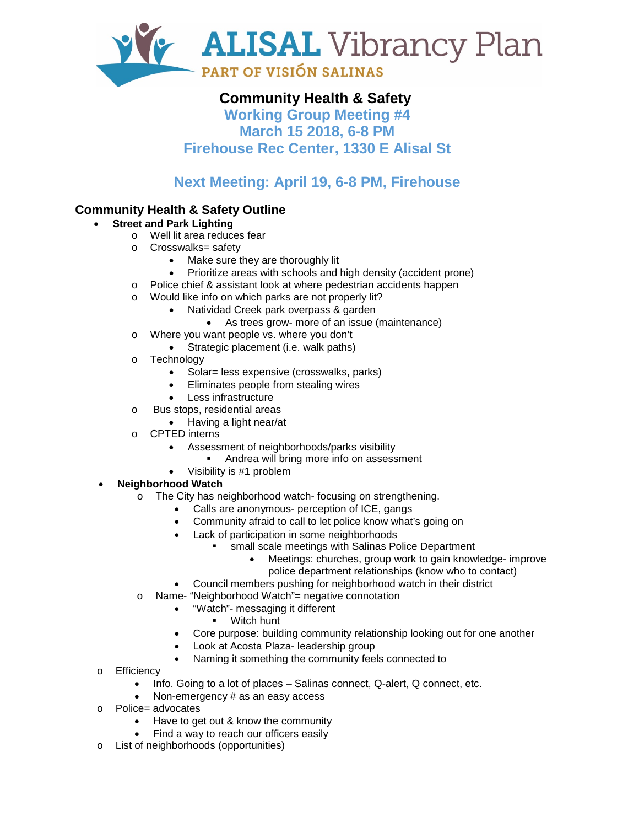

# **Community Health & Safety**

**Working Group Meeting #4 March 15 2018, 6-8 PM Firehouse Rec Center, 1330 E Alisal St**

# **Next Meeting: April 19, 6-8 PM, Firehouse**

# **Community Health & Safety Outline**

## • **Street and Park Lighting**

- o Well lit area reduces fear
	- o Crosswalks= safety
		- Make sure they are thoroughly lit
		- Prioritize areas with schools and high density (accident prone)
	- o Police chief & assistant look at where pedestrian accidents happen
	- o Would like info on which parks are not properly lit?
		- Natividad Creek park overpass & garden
			- As trees grow- more of an issue (maintenance)
- o Where you want people vs. where you don't
	- Strategic placement (i.e. walk paths)
- o Technology
	- Solar= less expensive (crosswalks, parks)
	- Eliminates people from stealing wires
	- Less infrastructure
- o Bus stops, residential areas
	- Having a light near/at
- o CPTED interns
	- Assessment of neighborhoods/parks visibility
		- **Andrea will bring more info on assessment**
	- Visibility is #1 problem
- **Neighborhood Watch**
	- o The City has neighborhood watch- focusing on strengthening.
		- Calls are anonymous- perception of ICE, gangs
		- Community afraid to call to let police know what's going on
		- Lack of participation in some neighborhoods
			- small scale meetings with Salinas Police Department
				- Meetings: churches, group work to gain knowledge- improve police department relationships (know who to contact)
		- Council members pushing for neighborhood watch in their district
	- o Name- "Neighborhood Watch"= negative connotation
		- "Watch"- messaging it different
			- Witch hunt
		- Core purpose: building community relationship looking out for one another
		- Look at Acosta Plaza- leadership group
		- Naming it something the community feels connected to
- o Efficiency
	- Info. Going to a lot of places Salinas connect, Q-alert, Q connect, etc.
	- Non-emergency # as an easy access
- o Police= advocates
	- Have to get out & know the community
	- Find a way to reach our officers easily
- o List of neighborhoods (opportunities)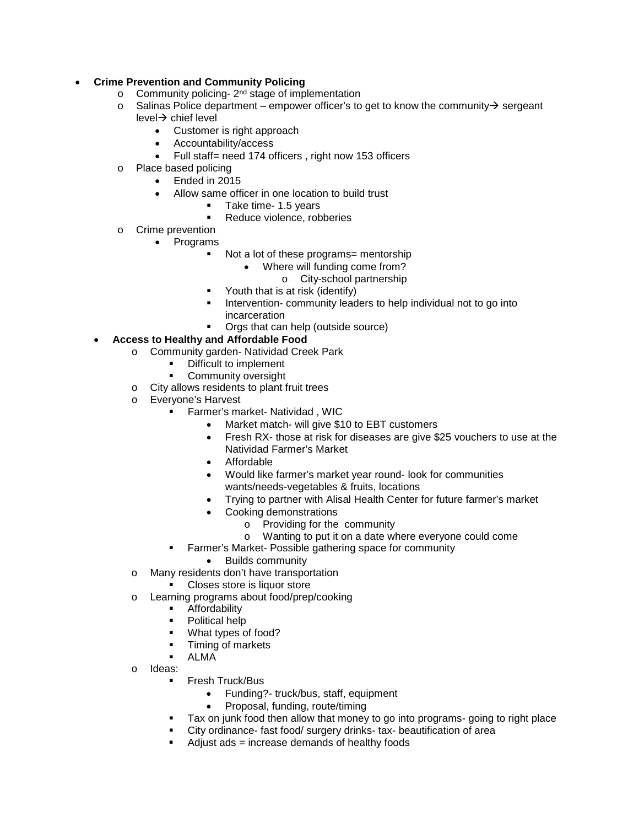#### • **Crime Prevention and Community Policing**

- Community policing- $2<sup>nd</sup>$  stage of implementation
- $\circ$  Salinas Police department empower officer's to get to know the community  $\rightarrow$  sergeant  $level \rightarrow$  chief level
	- Customer is right approach
	- Accountability/access
	- Full staff= need 174 officers, right now 153 officers
- o Place based policing
	- Ended in 2015
	- Allow same officer in one location to build trust
		- Take time- 1.5 years<br>Reduce violence rob
		- Reduce violence, robberies
- o Crime prevention
	- Programs
		- Not a lot of these programs= mentorship
			- Where will funding come from?
				- o City-school partnership
		- **•** Youth that is at risk (identify)
		- **Intervention- community leaders to help individual not to go into** incarceration
		- **•** Orgs that can help (outside source)
- **Access to Healthy and Affordable Food** 
	- o Community garden- Natividad Creek Park
		- **•** Difficult to implement
		- Community oversight
	- City allows residents to plant fruit trees<br>○ Evervone's Harvest
	- Everyone's Harvest
		- Farmer's market- Natividad , WIC
			- Market match- will give \$10 to EBT customers
			- Fresh RX- those at risk for diseases are give \$25 vouchers to use at the Natividad Farmer's Market
			- Affordable
			- Would like farmer's market year round- look for communities wants/needs-vegetables & fruits, locations
			- Trying to partner with Alisal Health Center for future farmer's market
			- Cooking demonstrations
				- $\circ$  Providing for the community<br> $\circ$  Wanting to put it on a date wi
				- Wanting to put it on a date where everyone could come
			- Farmer's Market- Possible gathering space for community
				- Builds community
	- o Many residents don't have transportation
		- **Closes store is liquor store**
	- o Learning programs about food/prep/cooking
		- Affordability
		- Political help
		- What types of food?
		- **Timing of markets**
		- ALMA
	- o Ideas:
		- Fresh Truck/Bus
			- Funding?- truck/bus, staff, equipment
			- Proposal, funding, route/timing
		- Tax on junk food then allow that money to go into programs- going to right place
		- City ordinance- fast food/ surgery drinks- tax- beautification of area
		- Adjust ads = increase demands of healthy foods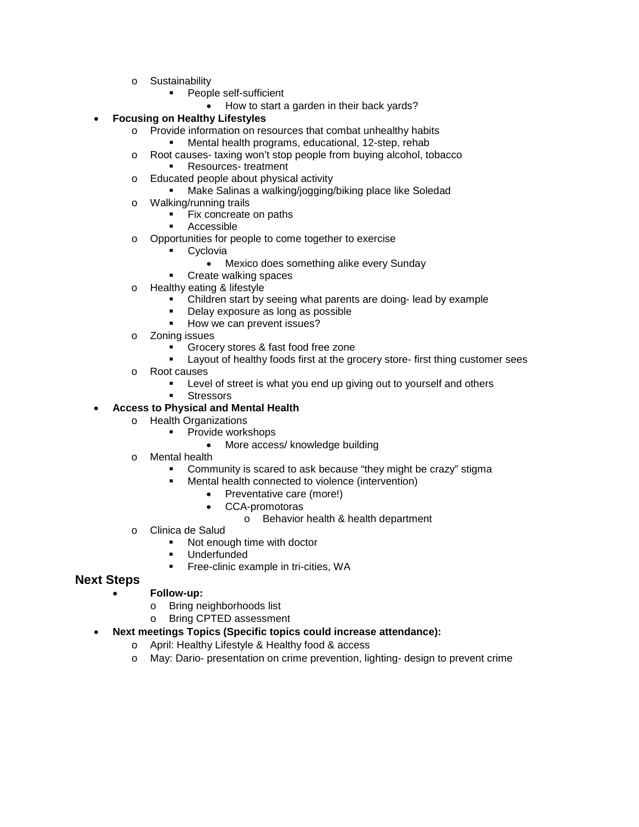- o Sustainability
	- **People self-sufficient** 
		- How to start a garden in their back yards?

#### • **Focusing on Healthy Lifestyles**

- o Provide information on resources that combat unhealthy habits
	- Mental health programs, educational, 12-step, rehab

o Root causes- taxing won't stop people from buying alcohol, tobacco

- Resources- treatment
- o Educated people about physical activity<br>■ Make Salinas a walking/jogging
	- Make Salinas a walking/jogging/biking place like Soledad
- o Walking/running trails
	- Fix concreate on paths
	- Accessible
- o Opportunities for people to come together to exercise
	- Cyclovia
		- Mexico does something alike every Sunday
		- Create walking spaces
- o Healthy eating & lifestyle
	- Children start by seeing what parents are doing- lead by example
	- Delay exposure as long as possible
	- How we can prevent issues?
- o Zoning issues
	- Grocery stores & fast food free zone
	- Layout of healthy foods first at the grocery store- first thing customer sees
- o Root causes
	- Level of street is what you end up giving out to yourself and others
	- **Stressors**

#### • **Access to Physical and Mental Health**

- o Health Organizations
	- **•** Provide workshops
		- More access/ knowledge building
- o Mental health
	- Community is scared to ask because "they might be crazy" stigma
		- Mental health connected to violence (intervention)
			- Preventative care (more!)
			- CCA-promotoras
				- o Behavior health & health department
- o Clinica de Salud
	- Not enough time with doctor
	- Underfunded
		- Free-clinic example in tri-cities, WA

## **Next Steps**

#### • **Follow-up:**

- o Bring neighborhoods list<br>
o Bring CPTED assessmere
- Bring CPTED assessment
- **Next meetings Topics (Specific topics could increase attendance):** 
	- o April: Healthy Lifestyle & Healthy food & access
	- o May: Dario- presentation on crime prevention, lighting- design to prevent crime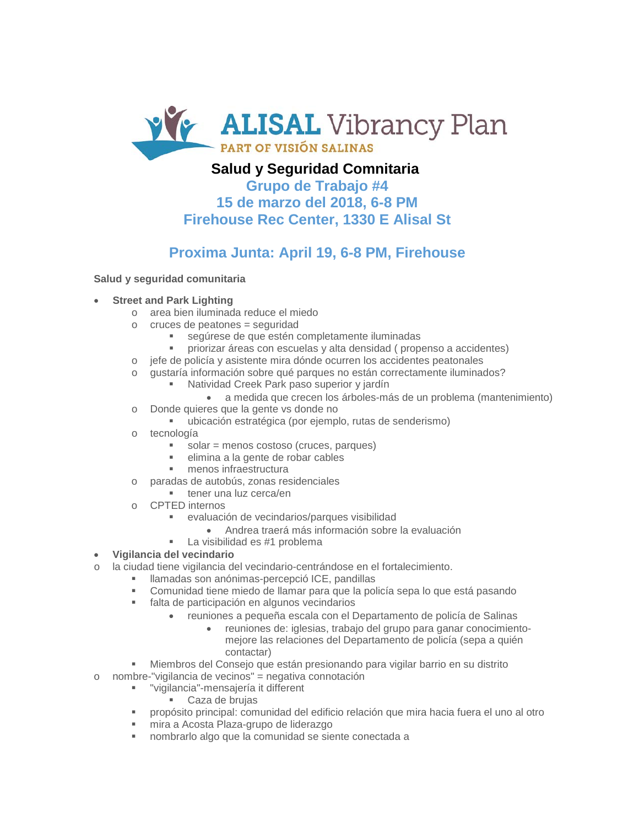

# **Salud y Seguridad Comnitaria**

**Grupo de Trabajo #4 15 de marzo del 2018, 6-8 PM Firehouse Rec Center, 1330 E Alisal St**

# **Proxima Junta: April 19, 6-8 PM, Firehouse**

#### **Salud y seguridad comunitaria**

#### • **Street and Park Lighting**

- o area bien iluminada reduce el miedo
- $\circ$  cruces de peatones = seguridad
	- segúrese de que estén completamente iluminadas
	- priorizar áreas con escuelas y alta densidad ( propenso a accidentes)
- o jefe de policía y asistente mira dónde ocurren los accidentes peatonales
- o gustaría información sobre qué parques no están correctamente iluminados?
	- Natividad Creek Park paso superior y jardín
		- a medida que crecen los árboles-más de un problema (mantenimiento)
- o Donde quieres que la gente vs donde no
	- ubicación estratégica (por ejemplo, rutas de senderismo)
- o tecnología
	- $\blacksquare$  solar = menos costoso (cruces, parques)
	- elimina a la gente de robar cables
	- menos infraestructura
- o paradas de autobús, zonas residenciales
	- $\blacksquare$  tener una luz cerca/en
- o CPTED internos
	- evaluación de vecindarios/parques visibilidad
		- Andrea traerá más información sobre la evaluación
	- **La visibilidad es #1 problema**
- **Vigilancia del vecindario**
- o la ciudad tiene vigilancia del vecindario-centrándose en el fortalecimiento.
	- llamadas son anónimas-percepció ICE, pandillas
		- Comunidad tiene miedo de llamar para que la policía sepa lo que está pasando
		- falta de participación en algunos vecindarios
			- reuniones a pequeña escala con el Departamento de policía de Salinas
				- reuniones de: iglesias, trabajo del grupo para ganar conocimientomejore las relaciones del Departamento de policía (sepa a quién contactar)
		- Miembros del Consejo que están presionando para vigilar barrio en su distrito
- o nombre-"vigilancia de vecinos" = negativa connotación
	- "vigilancia"-mensajería it different
		- Caza de brujas
	- propósito principal: comunidad del edificio relación que mira hacia fuera el uno al otro
	- mira a Acosta Plaza-grupo de liderazgo
	- nombrarlo algo que la comunidad se siente conectada a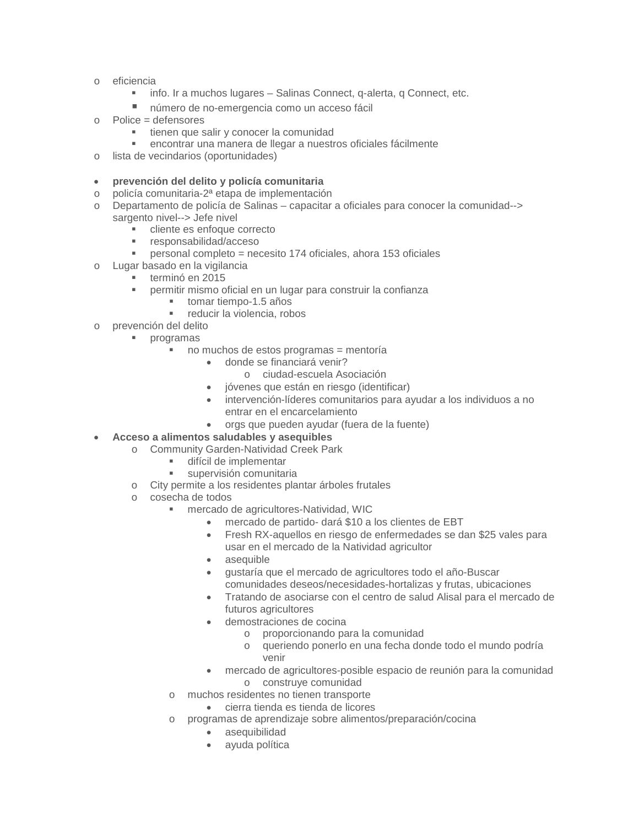- o eficiencia
	- **info. Ir a muchos lugares Salinas Connect, q-alerta, q Connect, etc.**
	- número de no-emergencia como un acceso fácil
- o Police = defensores
	- **tienen que salir y conocer la comunidad**
	- encontrar una manera de llegar a nuestros oficiales fácilmente
- o lista de vecindarios (oportunidades)

#### • **prevención del delito y policía comunitaria**

- o policía comunitaria-2ª etapa de implementación
- o Departamento de policía de Salinas capacitar a oficiales para conocer la comunidad--> sargento nivel--> Jefe nivel
	- cliente es enfoque correcto
	- responsabilidad/acceso
	- personal completo = necesito 174 oficiales, ahora 153 oficiales
- o Lugar basado en la vigilancia
	- **terminó en 2015** 
		- permitir mismo oficial en un lugar para construir la confianza
			- tomar tiempo-1.5 años
			- reducir la violencia, robos
- o prevención del delito
	- programas
		- no muchos de estos programas = mentoría
			- donde se financiará venir?
				- o ciudad-escuela Asociación
			- jóvenes que están en riesgo (identificar)
			- intervención-líderes comunitarios para ayudar a los individuos a no entrar en el encarcelamiento
			- orgs que pueden ayudar (fuera de la fuente)
- **Acceso a alimentos saludables y asequibles** 
	- o Community Garden-Natividad Creek Park
		- difícil de implementar
		- **supervisión comunitaria**
	- o City permite a los residentes plantar árboles frutales
	- o cosecha de todos
		- mercado de agricultores-Natividad, WIC
			- mercado de partido- dará \$10 a los clientes de EBT
			- Fresh RX-aquellos en riesgo de enfermedades se dan \$25 vales para usar en el mercado de la Natividad agricultor
			- asequible
			- gustaría que el mercado de agricultores todo el año-Buscar comunidades deseos/necesidades-hortalizas y frutas, ubicaciones
			- Tratando de asociarse con el centro de salud Alisal para el mercado de futuros agricultores
			- demostraciones de cocina
				- o proporcionando para la comunidad
				- o queriendo ponerlo en una fecha donde todo el mundo podría venir
				- mercado de agricultores-posible espacio de reunión para la comunidad o construye comunidad
		- muchos residentes no tienen transporte
			- cierra tienda es tienda de licores
		- o programas de aprendizaje sobre alimentos/preparación/cocina
			- asequibilidad
			- ayuda política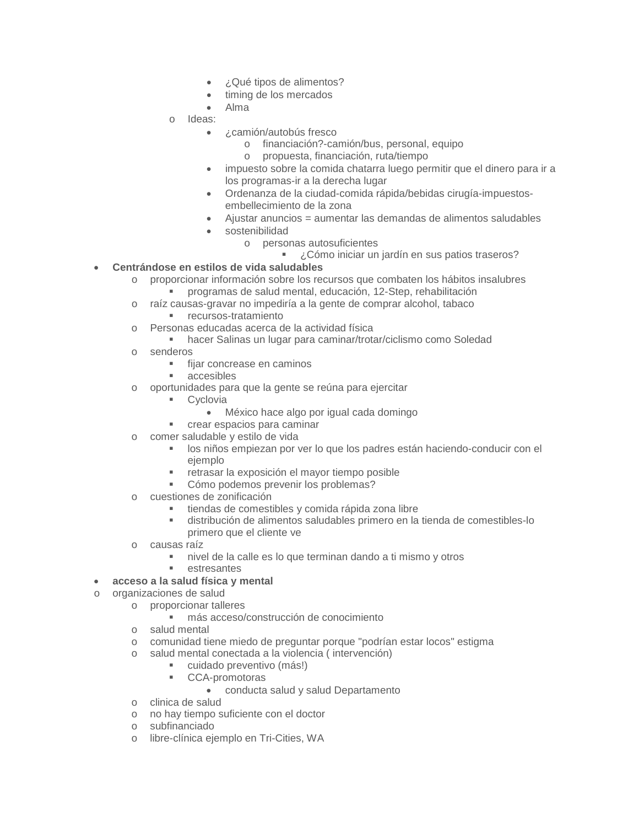- ¿Qué tipos de alimentos?
- timing de los mercados
- Alma
- o Ideas:
	- ¿camión/autobús fresco
		- o financiación?-camión/bus, personal, equipo
		- o propuesta, financiación, ruta/tiempo
	- impuesto sobre la comida chatarra luego permitir que el dinero para ir a los programas-ir a la derecha lugar
	- Ordenanza de la ciudad-comida rápida/bebidas cirugía-impuestosembellecimiento de la zona
	- Ajustar anuncios = aumentar las demandas de alimentos saludables
	- sostenibilidad
		- o personas autosuficientes
			- ¿Cómo iniciar un jardín en sus patios traseros?
- **Centrándose en estilos de vida saludables**
	- o proporcionar información sobre los recursos que combaten los hábitos insalubres programas de salud mental, educación, 12-Step, rehabilitación
	- o raíz causas-gravar no impediría a la gente de comprar alcohol, tabaco
		- **Fall recursos-tratamiento**
	- o Personas educadas acerca de la actividad física
		- hacer Salinas un lugar para caminar/trotar/ciclismo como Soledad
	- o senderos
		- $\blacksquare$  fijar concrease en caminos
		- accesibles
	- o oportunidades para que la gente se reúna para ejercitar
		- **Cyclovia** 
			- México hace algo por igual cada domingo
		- crear espacios para caminar
	- o comer saludable y estilo de vida
		- los niños empiezan por ver lo que los padres están haciendo-conducir con el ejemplo
		- retrasar la exposición el mayor tiempo posible
		- **Cómo podemos prevenir los problemas?**
	- o cuestiones de zonificación
		- tiendas de comestibles y comida rápida zona libre
		- distribución de alimentos saludables primero en la tienda de comestibles-lo primero que el cliente ve
	- o causas raíz
		- nivel de la calle es lo que terminan dando a ti mismo y otros
		- **Exercise Exercise Exercise**
	- **acceso a la salud física y mental**
- o organizaciones de salud
	- o proporcionar talleres
	- más acceso/construcción de conocimiento
	- o salud mental
	- o comunidad tiene miedo de preguntar porque "podrían estar locos" estigma
	- o salud mental conectada a la violencia ( intervención)
		- cuidado preventivo (más!)
		- CCA-promotoras
			- conducta salud y salud Departamento
	- o clinica de salud
	- o no hay tiempo suficiente con el doctor
	- o subfinanciado
	- o libre-clínica ejemplo en Tri-Cities, WA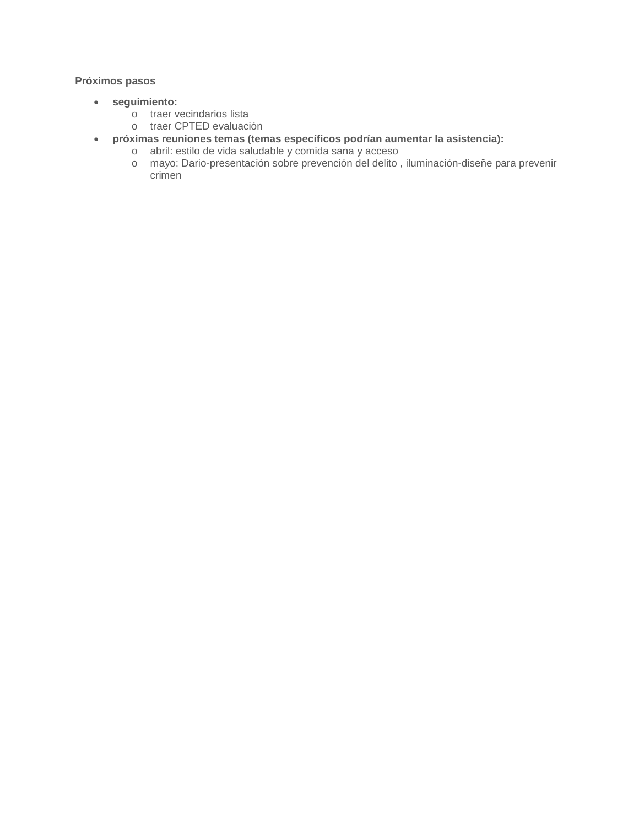#### **Próximos pasos**

- **seguimiento:**
	- o traer vecindarios lista
	- o traer CPTED evaluación
- **próximas reuniones temas (temas específicos podrían aumentar la asistencia):**
	- o abril: estilo de vida saludable y comida sana y acceso
	- o mayo: Dario-presentación sobre prevención del delito , iluminación-diseñe para prevenir crimen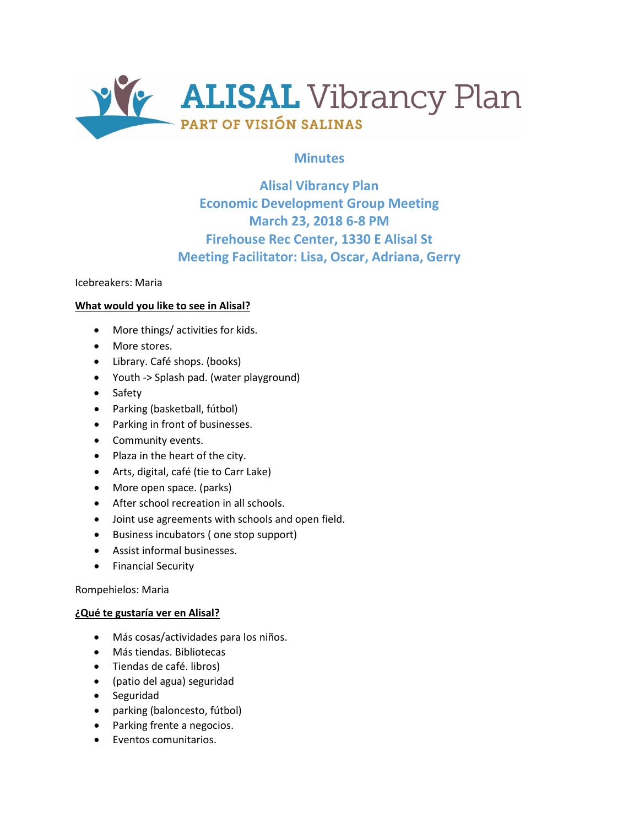

# **Minutes**

# **Alisal Vibrancy Plan Economic Development Group Meeting March 23, 2018 6-8 PM Firehouse Rec Center, 1330 E Alisal St Meeting Facilitator: Lisa, Oscar, Adriana, Gerry**

Icebreakers: Maria

#### **What would you like to see in Alisal?**

- More things/ activities for kids.
- More stores.
- Library. Café shops. (books)
- Youth -> Splash pad. (water playground)
- Safety
- Parking (basketball, fútbol)
- Parking in front of businesses.
- Community events.
- Plaza in the heart of the city.
- Arts, digital, café (tie to Carr Lake)
- More open space. (parks)
- After school recreation in all schools.
- Joint use agreements with schools and open field.
- Business incubators ( one stop support)
- Assist informal businesses.
- Financial Security

Rompehielos: Maria

#### **¿Qué te gustaría ver en Alisal?**

- Más cosas/actividades para los niños.
- Más tiendas. Bibliotecas
- Tiendas de café. libros)
- (patio del agua) seguridad
- Seguridad
- parking (baloncesto, fútbol)
- Parking frente a negocios.
- Eventos comunitarios.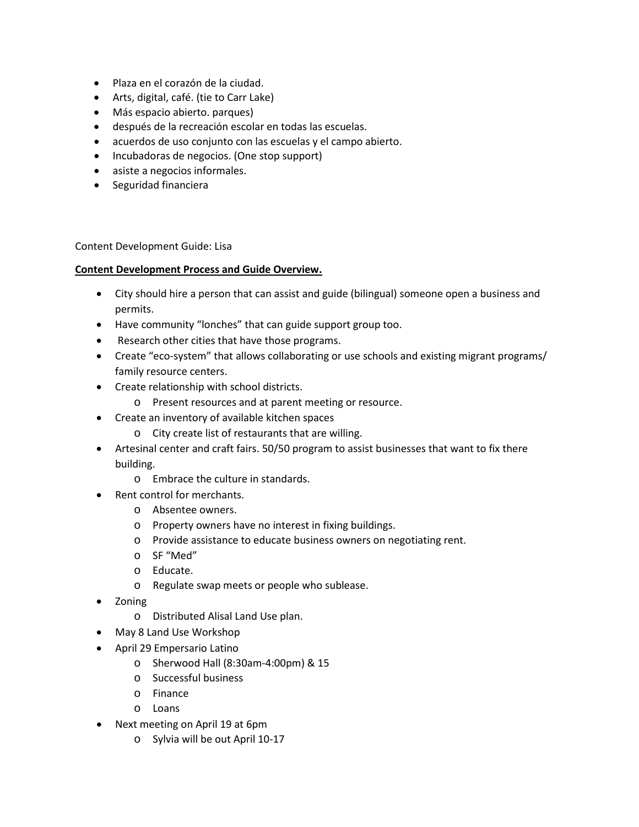- Plaza en el corazón de la ciudad.
- Arts, digital, café. (tie to Carr Lake)
- Más espacio abierto. parques)
- después de la recreación escolar en todas las escuelas.
- acuerdos de uso conjunto con las escuelas y el campo abierto.
- Incubadoras de negocios. (One stop support)
- asiste a negocios informales.
- Seguridad financiera

Content Development Guide: Lisa

#### **Content Development Process and Guide Overview.**

- City should hire a person that can assist and guide (bilingual) someone open a business and permits.
- Have community "lonches" that can guide support group too.
- Research other cities that have those programs.
- Create "eco-system" that allows collaborating or use schools and existing migrant programs/ family resource centers.
- Create relationship with school districts.
	- o Present resources and at parent meeting or resource.
- Create an inventory of available kitchen spaces
	- o City create list of restaurants that are willing.
- Artesinal center and craft fairs. 50/50 program to assist businesses that want to fix there building.
	- o Embrace the culture in standards.
- Rent control for merchants.
	- o Absentee owners.
	- o Property owners have no interest in fixing buildings.
	- o Provide assistance to educate business owners on negotiating rent.
	- o SF "Med"
	- o Educate.
	- o Regulate swap meets or people who sublease.
- Zoning
	- o Distributed Alisal Land Use plan.
- May 8 Land Use Workshop
- April 29 Empersario Latino
	- o Sherwood Hall (8:30am-4:00pm) & 15
	- o Successful business
	- o Finance
	- o Loans
- Next meeting on April 19 at 6pm
	- o Sylvia will be out April 10-17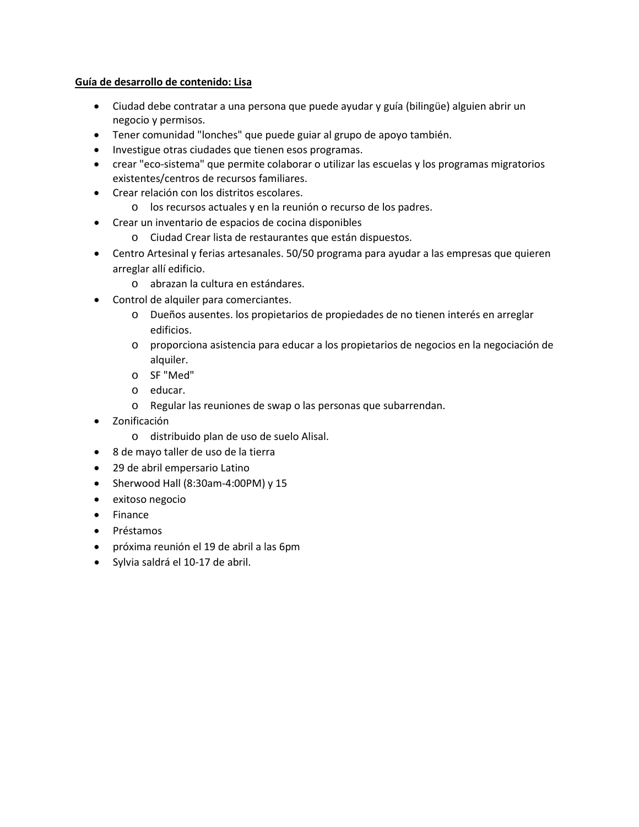#### **Guía de desarrollo de contenido: Lisa**

- Ciudad debe contratar a una persona que puede ayudar y guía (bilingüe) alguien abrir un negocio y permisos.
- Tener comunidad "lonches" que puede guiar al grupo de apoyo también.
- Investigue otras ciudades que tienen esos programas.
- crear "eco-sistema" que permite colaborar o utilizar las escuelas y los programas migratorios existentes/centros de recursos familiares.
- Crear relación con los distritos escolares.
	- o los recursos actuales y en la reunión o recurso de los padres.
- Crear un inventario de espacios de cocina disponibles
	- o Ciudad Crear lista de restaurantes que están dispuestos.
- Centro Artesinal y ferias artesanales. 50/50 programa para ayudar a las empresas que quieren arreglar allí edificio.
	- o abrazan la cultura en estándares.
- Control de alquiler para comerciantes.
	- o Dueños ausentes. los propietarios de propiedades de no tienen interés en arreglar edificios.
	- o proporciona asistencia para educar a los propietarios de negocios en la negociación de alquiler.
	- o SF "Med"
	- o educar.
	- o Regular las reuniones de swap o las personas que subarrendan.
- Zonificación
	- o distribuido plan de uso de suelo Alisal.
- 8 de mayo taller de uso de la tierra
- 29 de abril empersario Latino
- Sherwood Hall (8:30am-4:00PM) y 15
- exitoso negocio
- Finance
- Préstamos
- próxima reunión el 19 de abril a las 6pm
- Sylvia saldrá el 10-17 de abril.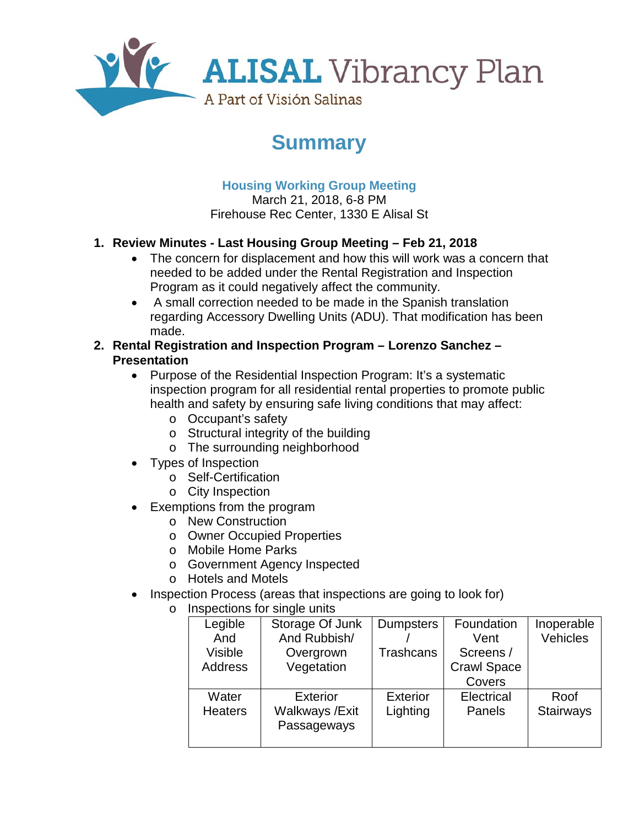

# **Summary**

# **Housing Working Group Meeting**

March 21, 2018, 6-8 PM Firehouse Rec Center, 1330 E Alisal St

# **1. Review Minutes - Last Housing Group Meeting – Feb 21, 2018**

- The concern for displacement and how this will work was a concern that needed to be added under the Rental Registration and Inspection Program as it could negatively affect the community.
- A small correction needed to be made in the Spanish translation regarding Accessory Dwelling Units (ADU). That modification has been made.
- **2. Rental Registration and Inspection Program – Lorenzo Sanchez – Presentation** 
	- Purpose of the Residential Inspection Program: It's a systematic inspection program for all residential rental properties to promote public health and safety by ensuring safe living conditions that may affect:
		- o Occupant's safety
		- o Structural integrity of the building
		- o The surrounding neighborhood
	- Types of Inspection
		- o Self-Certification
		- o City Inspection
	- Exemptions from the program
		- o New Construction
		- o Owner Occupied Properties
		- o Mobile Home Parks
		- o Government Agency Inspected
		- o Hotels and Motels
	- Inspection Process (areas that inspections are going to look for)
		- o Inspections for single units

| Legible        | Storage Of Junk | <b>Dumpsters</b> | Foundation         | Inoperable |
|----------------|-----------------|------------------|--------------------|------------|
| And            | And Rubbish/    |                  | Vent               | Vehicles   |
| <b>Visible</b> | Overgrown       | <b>Trashcans</b> | Screens /          |            |
| <b>Address</b> | Vegetation      |                  | <b>Crawl Space</b> |            |
|                |                 |                  | Covers             |            |
| Water          | <b>Exterior</b> | <b>Exterior</b>  | Electrical         | Roof       |
| <b>Heaters</b> | Walkways / Exit | Lighting         | Panels             | Stairways  |
|                | Passageways     |                  |                    |            |
|                |                 |                  |                    |            |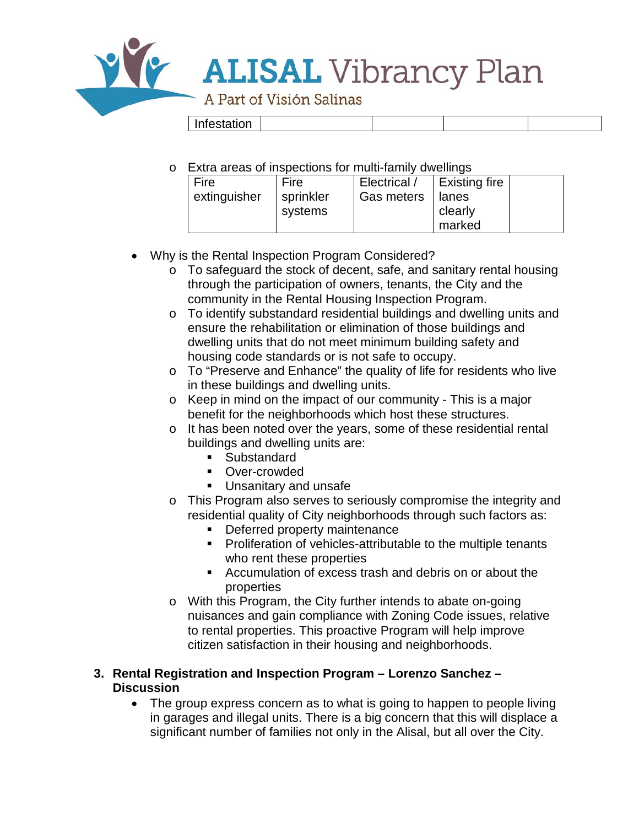

o Extra areas of inspections for multi-family dwellings

| Fire         | Fire      | Electrical / | <b>Existing fire</b> |  |
|--------------|-----------|--------------|----------------------|--|
| extinguisher | sprinkler | Gas meters   | lanes                |  |
|              | systems   |              | clearly              |  |
|              |           |              | marked               |  |

- Why is the Rental Inspection Program Considered?
	- o To safeguard the stock of decent, safe, and sanitary rental housing through the participation of owners, tenants, the City and the community in the Rental Housing Inspection Program.
	- o To identify substandard residential buildings and dwelling units and ensure the rehabilitation or elimination of those buildings and dwelling units that do not meet minimum building safety and housing code standards or is not safe to occupy.
	- o To "Preserve and Enhance" the quality of life for residents who live in these buildings and dwelling units.
	- o Keep in mind on the impact of our community This is a major benefit for the neighborhoods which host these structures.
	- o It has been noted over the years, some of these residential rental buildings and dwelling units are:
		- **Substandard**
		- **•** Over-crowded
		- **Unsanitary and unsafe**
	- o This Program also serves to seriously compromise the integrity and residential quality of City neighborhoods through such factors as:
		- **•** Deferred property maintenance
		- **Proliferation of vehicles-attributable to the multiple tenants** who rent these properties
		- Accumulation of excess trash and debris on or about the properties
	- o With this Program, the City further intends to abate on-going nuisances and gain compliance with Zoning Code issues, relative to rental properties. This proactive Program will help improve citizen satisfaction in their housing and neighborhoods.

## **3. Rental Registration and Inspection Program – Lorenzo Sanchez – Discussion**

• The group express concern as to what is going to happen to people living in garages and illegal units. There is a big concern that this will displace a significant number of families not only in the Alisal, but all over the City.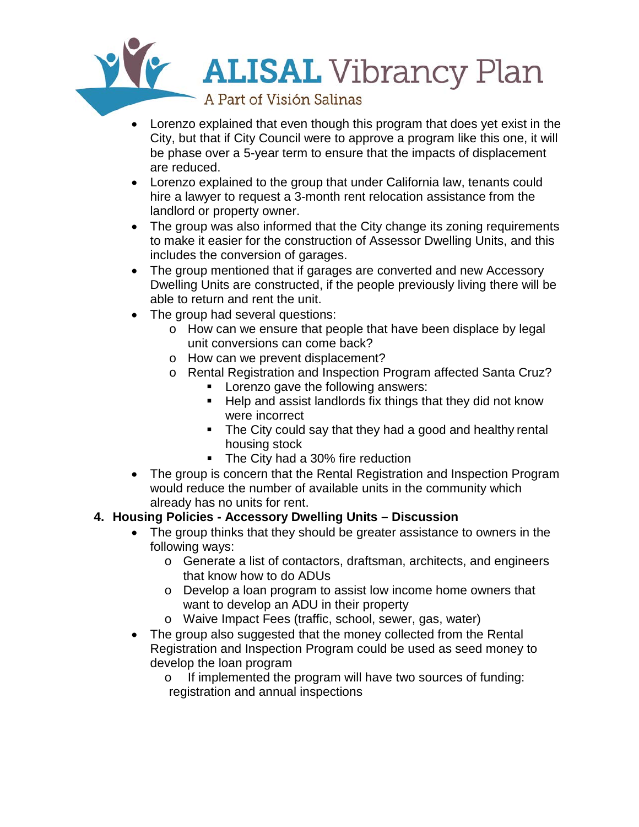

- Lorenzo explained that even though this program that does yet exist in the City, but that if City Council were to approve a program like this one, it will be phase over a 5-year term to ensure that the impacts of displacement are reduced.
- Lorenzo explained to the group that under California law, tenants could hire a lawyer to request a 3-month rent relocation assistance from the landlord or property owner.
- The group was also informed that the City change its zoning requirements to make it easier for the construction of Assessor Dwelling Units, and this includes the conversion of garages.
- The group mentioned that if garages are converted and new Accessory Dwelling Units are constructed, if the people previously living there will be able to return and rent the unit.
- The group had several questions:
	- o How can we ensure that people that have been displace by legal unit conversions can come back?
	- o How can we prevent displacement?
	- o Rental Registration and Inspection Program affected Santa Cruz?
		- **Lorenzo gave the following answers:**
		- Help and assist landlords fix things that they did not know were incorrect
		- The City could say that they had a good and healthy rental housing stock
		- The City had a 30% fire reduction
- The group is concern that the Rental Registration and Inspection Program would reduce the number of available units in the community which already has no units for rent.

# **4. Housing Policies - Accessory Dwelling Units – Discussion**

- The group thinks that they should be greater assistance to owners in the following ways:
	- o Generate a list of contactors, draftsman, architects, and engineers that know how to do ADUs
	- o Develop a loan program to assist low income home owners that want to develop an ADU in their property
	- o Waive Impact Fees (traffic, school, sewer, gas, water)
- The group also suggested that the money collected from the Rental Registration and Inspection Program could be used as seed money to develop the loan program
	- o If implemented the program will have two sources of funding: registration and annual inspections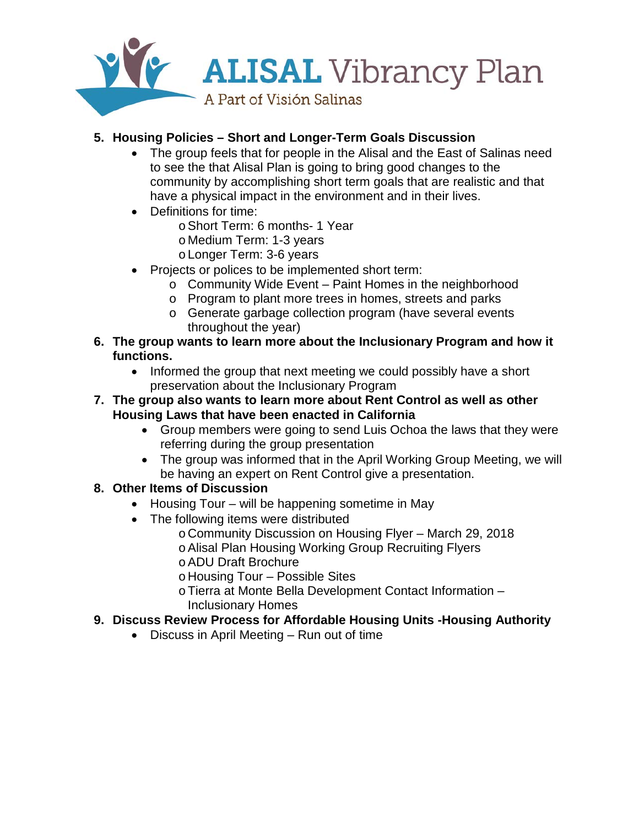

# **5. Housing Policies – Short and Longer-Term Goals Discussion**

- The group feels that for people in the Alisal and the East of Salinas need to see the that Alisal Plan is going to bring good changes to the community by accomplishing short term goals that are realistic and that have a physical impact in the environment and in their lives.
- Definitions for time:
	- oShort Term: 6 months- 1 Year
	- o Medium Term: 1-3 years
	- o Longer Term: 3-6 years
- Projects or polices to be implemented short term:
	- o Community Wide Event Paint Homes in the neighborhood
	- o Program to plant more trees in homes, streets and parks
	- o Generate garbage collection program (have several events throughout the year)
- **6. The group wants to learn more about the Inclusionary Program and how it functions.** 
	- Informed the group that next meeting we could possibly have a short preservation about the Inclusionary Program
- **7. The group also wants to learn more about Rent Control as well as other Housing Laws that have been enacted in California**
	- Group members were going to send Luis Ochoa the laws that they were referring during the group presentation
	- The group was informed that in the April Working Group Meeting, we will be having an expert on Rent Control give a presentation.
- **8. Other Items of Discussion** 
	- Housing Tour will be happening sometime in May
	- The following items were distributed
		- o Community Discussion on Housing Flyer March 29, 2018
		- oAlisal Plan Housing Working Group Recruiting Flyers
		- oADU Draft Brochure
		- o Housing Tour Possible Sites
		- oTierra at Monte Bella Development Contact Information Inclusionary Homes

# **9. Discuss Review Process for Affordable Housing Units -Housing Authority**

• Discuss in April Meeting – Run out of time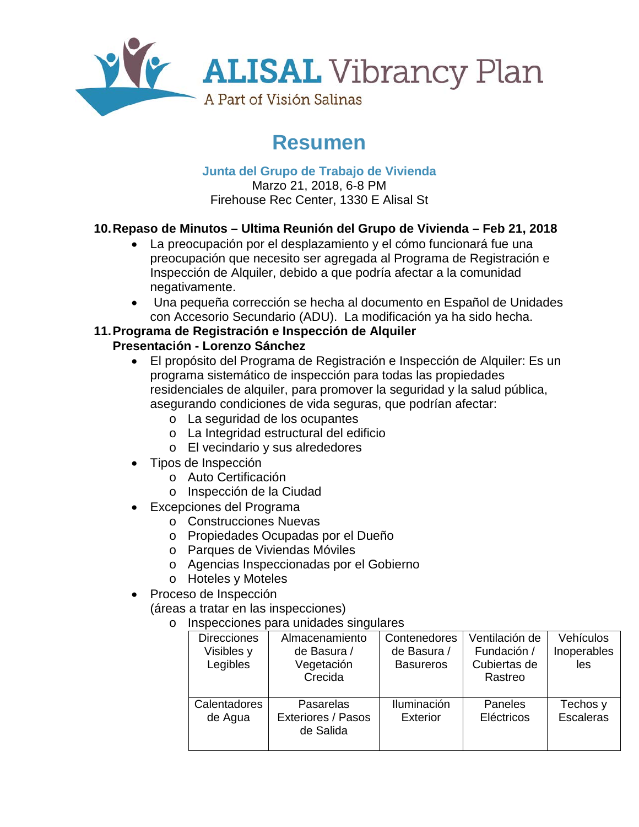

# **Resumen**

**Junta del Grupo de Trabajo de Vivienda** Marzo 21, 2018, 6-8 PM Firehouse Rec Center, 1330 E Alisal St

# **10.Repaso de Minutos – Ultima Reunión del Grupo de Vivienda – Feb 21, 2018**

- La preocupación por el desplazamiento y el cómo funcionará fue una preocupación que necesito ser agregada al Programa de Registración e Inspección de Alquiler, debido a que podría afectar a la comunidad negativamente.
- Una pequeña corrección se hecha al documento en Español de Unidades con Accesorio Secundario (ADU). La modificación ya ha sido hecha.

## **11.Programa de Registración e Inspección de Alquiler Presentación - Lorenzo Sánchez**

- El propósito del Programa de Registración e Inspección de Alquiler: Es un programa sistemático de inspección para todas las propiedades residenciales de alquiler, para promover la seguridad y la salud pública, asegurando condiciones de vida seguras, que podrían afectar:
	- o La seguridad de los ocupantes
	- o La Integridad estructural del edificio
	- o El vecindario y sus alrededores
- Tipos de Inspección
	- o Auto Certificación
	- o Inspección de la Ciudad
- Excepciones del Programa
	- o Construcciones Nuevas
	- o Propiedades Ocupadas por el Dueño
	- o Parques de Viviendas Móviles
	- o Agencias Inspeccionadas por el Gobierno
	- o Hoteles y Moteles
- Proceso de Inspección

(áreas a tratar en las inspecciones)

o Inspecciones para unidades singulares

| <b>Direcciones</b><br>Visibles y<br>Legibles | Almacenamiento<br>de Basura /<br>Vegetación<br>Crecida | Contenedores<br>de Basura /<br><b>Basureros</b> | Ventilación de<br>Fundación /<br>Cubiertas de<br>Rastreo | Vehículos<br>Inoperables<br>les |
|----------------------------------------------|--------------------------------------------------------|-------------------------------------------------|----------------------------------------------------------|---------------------------------|
| Calentadores<br>de Agua                      | Pasarelas<br><b>Exteriores / Pasos</b><br>de Salida    | Iluminación<br><b>Exterior</b>                  | Paneles<br>Eléctricos                                    | Techos y<br><b>Escaleras</b>    |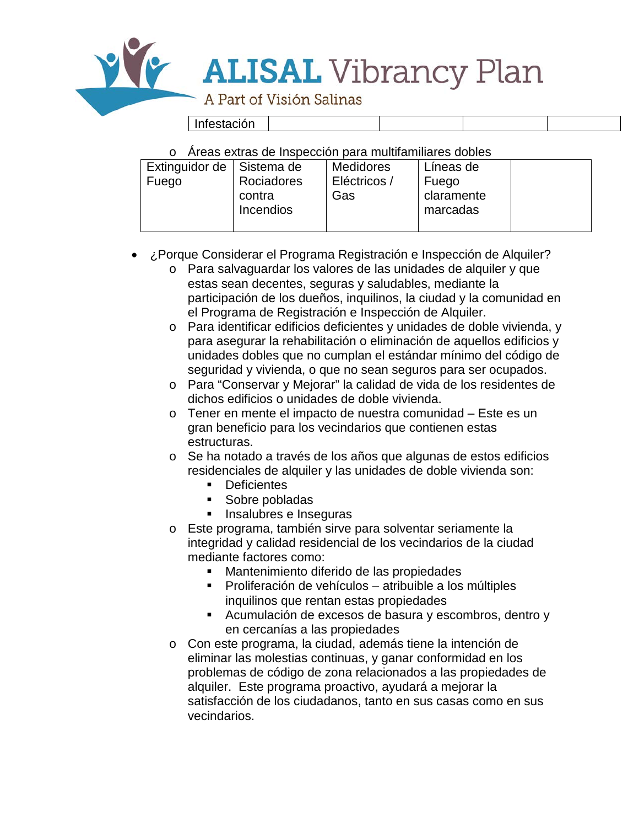

Infestación

o Áreas extras de Inspección para multifamiliares dobles

| <b>Medidores</b><br>Extinguidor de<br>Líneas de<br>∣Sistema de<br>Eléctricos /<br>Rociadores<br>Fuego<br>Fuego<br>claramente<br>Gas<br>contra<br>Incendios<br>marcadas |
|------------------------------------------------------------------------------------------------------------------------------------------------------------------------|
|------------------------------------------------------------------------------------------------------------------------------------------------------------------------|

- ¿Porque Considerar el Programa Registración e Inspección de Alquiler?
	- o Para salvaguardar los valores de las unidades de alquiler y que estas sean decentes, seguras y saludables, mediante la participación de los dueños, inquilinos, la ciudad y la comunidad en el Programa de Registración e Inspección de Alquiler.
	- o Para identificar edificios deficientes y unidades de doble vivienda, y para asegurar la rehabilitación o eliminación de aquellos edificios y unidades dobles que no cumplan el estándar mínimo del código de seguridad y vivienda, o que no sean seguros para ser ocupados.
	- o Para "Conservar y Mejorar" la calidad de vida de los residentes de dichos edificios o unidades de doble vivienda.
	- o Tener en mente el impacto de nuestra comunidad Este es un gran beneficio para los vecindarios que contienen estas estructuras.
	- o Se ha notado a través de los años que algunas de estos edificios residenciales de alquiler y las unidades de doble vivienda son:
		- **Deficientes**
		- **Sobre pobladas**
		- **Insalubres e Inseguras**
	- o Este programa, también sirve para solventar seriamente la integridad y calidad residencial de los vecindarios de la ciudad mediante factores como:
		- Mantenimiento diferido de las propiedades
		- Proliferación de vehículos atribuible a los múltiples inquilinos que rentan estas propiedades
		- Acumulación de excesos de basura y escombros, dentro y en cercanías a las propiedades
	- o Con este programa, la ciudad, además tiene la intención de eliminar las molestias continuas, y ganar conformidad en los problemas de código de zona relacionados a las propiedades de alquiler. Este programa proactivo, ayudará a mejorar la satisfacción de los ciudadanos, tanto en sus casas como en sus vecindarios.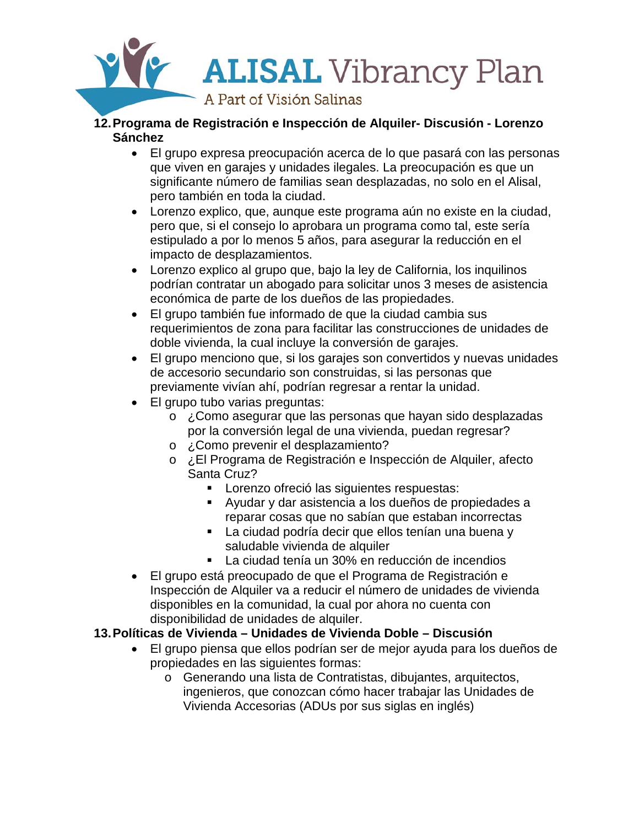

- **12.Programa de Registración e Inspección de Alquiler- Discusión - Lorenzo Sánchez** 
	- El grupo expresa preocupación acerca de lo que pasará con las personas que viven en garajes y unidades ilegales. La preocupación es que un significante número de familias sean desplazadas, no solo en el Alisal, pero también en toda la ciudad.
	- Lorenzo explico, que, aunque este programa aún no existe en la ciudad, pero que, si el consejo lo aprobara un programa como tal, este sería estipulado a por lo menos 5 años, para asegurar la reducción en el impacto de desplazamientos.
	- Lorenzo explico al grupo que, bajo la ley de California, los inquilinos podrían contratar un abogado para solicitar unos 3 meses de asistencia económica de parte de los dueños de las propiedades.
	- El grupo también fue informado de que la ciudad cambia sus requerimientos de zona para facilitar las construcciones de unidades de doble vivienda, la cual incluye la conversión de garajes.
	- El grupo menciono que, si los garajes son convertidos y nuevas unidades de accesorio secundario son construidas, si las personas que previamente vivían ahí, podrían regresar a rentar la unidad.
	- El grupo tubo varias preguntas:
		- o ¿Como asegurar que las personas que hayan sido desplazadas por la conversión legal de una vivienda, puedan regresar?
		- o ¿Como prevenir el desplazamiento?
		- o ¿El Programa de Registración e Inspección de Alquiler, afecto Santa Cruz?
			- **Lorenzo ofreció las siguientes respuestas:**
			- Ayudar y dar asistencia a los dueños de propiedades a reparar cosas que no sabían que estaban incorrectas
			- La ciudad podría decir que ellos tenían una buena y saludable vivienda de alquiler
			- La ciudad tenía un 30% en reducción de incendios
	- El grupo está preocupado de que el Programa de Registración e Inspección de Alquiler va a reducir el número de unidades de vivienda disponibles en la comunidad, la cual por ahora no cuenta con disponibilidad de unidades de alquiler.

# **13.Políticas de Vivienda – Unidades de Vivienda Doble – Discusión**

- El grupo piensa que ellos podrían ser de mejor ayuda para los dueños de propiedades en las siguientes formas:
	- o Generando una lista de Contratistas, dibujantes, arquitectos, ingenieros, que conozcan cómo hacer trabajar las Unidades de Vivienda Accesorias (ADUs por sus siglas en inglés)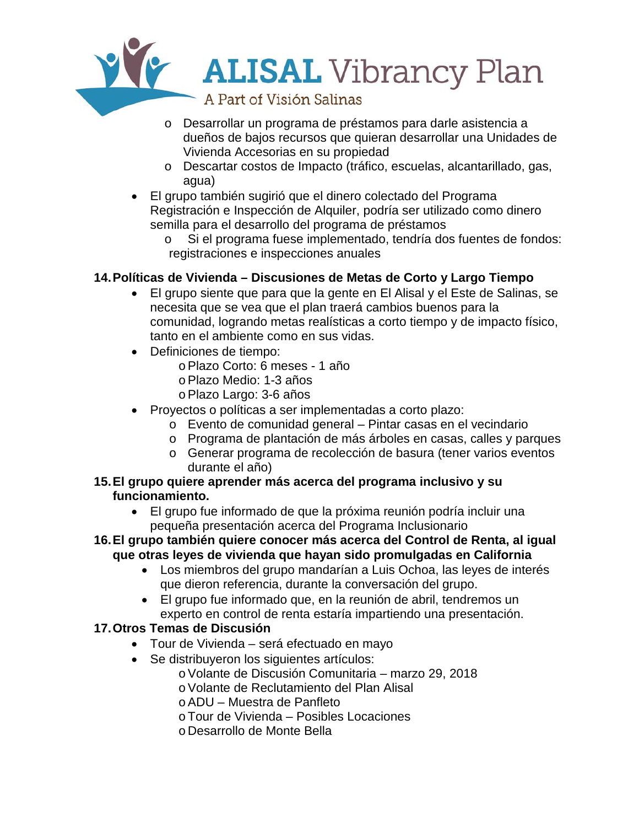

- o Desarrollar un programa de préstamos para darle asistencia a dueños de bajos recursos que quieran desarrollar una Unidades de Vivienda Accesorias en su propiedad
- o Descartar costos de Impacto (tráfico, escuelas, alcantarillado, gas, agua)
- El grupo también sugirió que el dinero colectado del Programa Registración e Inspección de Alquiler, podría ser utilizado como dinero semilla para el desarrollo del programa de préstamos
	- Si el programa fuese implementado, tendría dos fuentes de fondos: registraciones e inspecciones anuales

# **14.Políticas de Vivienda – Discusiones de Metas de Corto y Largo Tiempo**

- El grupo siente que para que la gente en El Alisal y el Este de Salinas, se necesita que se vea que el plan traerá cambios buenos para la comunidad, logrando metas realísticas a corto tiempo y de impacto físico, tanto en el ambiente como en sus vidas.
- Definiciones de tiempo:
	- oPlazo Corto: 6 meses 1 año
	- oPlazo Medio: 1-3 años
	- oPlazo Largo: 3-6 años
- Proyectos o políticas a ser implementadas a corto plazo:
	- o Evento de comunidad general Pintar casas en el vecindario
	- o Programa de plantación de más árboles en casas, calles y parques
	- o Generar programa de recolección de basura (tener varios eventos durante el año)
- **15.El grupo quiere aprender más acerca del programa inclusivo y su funcionamiento.** 
	- El grupo fue informado de que la próxima reunión podría incluir una pequeña presentación acerca del Programa Inclusionario
- **16.El grupo también quiere conocer más acerca del Control de Renta, al igual que otras leyes de vivienda que hayan sido promulgadas en California**
	- Los miembros del grupo mandarían a Luis Ochoa, las leyes de interés que dieron referencia, durante la conversación del grupo.
	- El grupo fue informado que, en la reunión de abril, tendremos un experto en control de renta estaría impartiendo una presentación.

# **17.Otros Temas de Discusión**

- Tour de Vivienda será efectuado en mayo
- Se distribuyeron los siguientes artículos:
	- oVolante de Discusión Comunitaria marzo 29, 2018
	- oVolante de Reclutamiento del Plan Alisal
	- oADU Muestra de Panfleto
	- oTour de Vivienda Posibles Locaciones
	- o Desarrollo de Monte Bella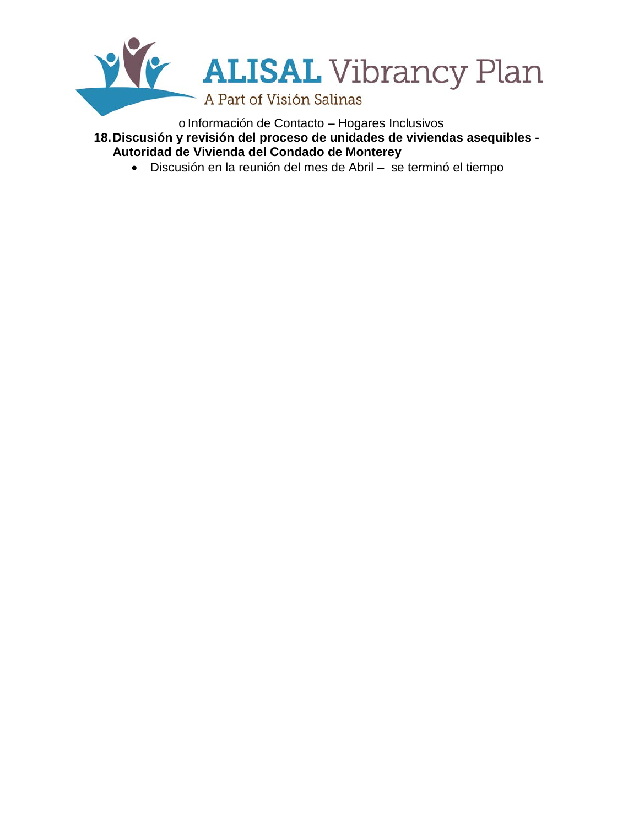

o Información de Contacto - Hogares Inclusivos **18.Discusión y revisión del proceso de unidades de viviendas asequibles - Autoridad de Vivienda del Condado de Monterey**

• Discusión en la reunión del mes de Abril – se terminó el tiempo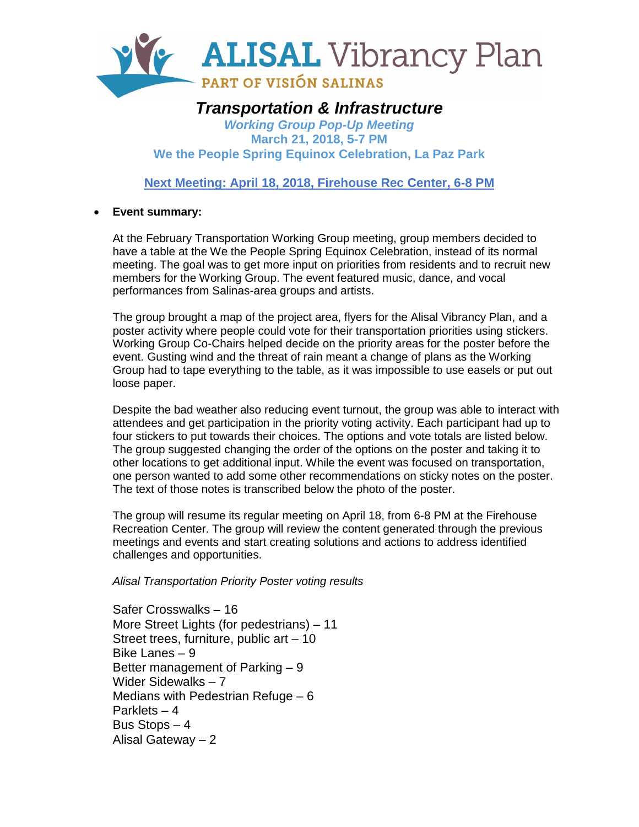

# *Transportation & Infrastructure*

*Working Group Pop-Up Meeting* **March 21, 2018, 5-7 PM We the People Spring Equinox Celebration, La Paz Park**

**Next Meeting: April 18, 2018, Firehouse Rec Center, 6-8 PM**

## • **Event summary:**

At the February Transportation Working Group meeting, group members decided to have a table at the We the People Spring Equinox Celebration, instead of its normal meeting. The goal was to get more input on priorities from residents and to recruit new members for the Working Group. The event featured music, dance, and vocal performances from Salinas-area groups and artists.

The group brought a map of the project area, flyers for the Alisal Vibrancy Plan, and a poster activity where people could vote for their transportation priorities using stickers. Working Group Co-Chairs helped decide on the priority areas for the poster before the event. Gusting wind and the threat of rain meant a change of plans as the Working Group had to tape everything to the table, as it was impossible to use easels or put out loose paper.

Despite the bad weather also reducing event turnout, the group was able to interact with attendees and get participation in the priority voting activity. Each participant had up to four stickers to put towards their choices. The options and vote totals are listed below. The group suggested changing the order of the options on the poster and taking it to other locations to get additional input. While the event was focused on transportation, one person wanted to add some other recommendations on sticky notes on the poster. The text of those notes is transcribed below the photo of the poster.

The group will resume its regular meeting on April 18, from 6-8 PM at the Firehouse Recreation Center. The group will review the content generated through the previous meetings and events and start creating solutions and actions to address identified challenges and opportunities.

*Alisal Transportation Priority Poster voting results*

Safer Crosswalks – 16 More Street Lights (for pedestrians) – 11 Street trees, furniture, public art – 10 Bike Lanes – 9 Better management of Parking – 9 Wider Sidewalks – 7 Medians with Pedestrian Refuge – 6 Parklets – 4 Bus Stops – 4 Alisal Gateway – 2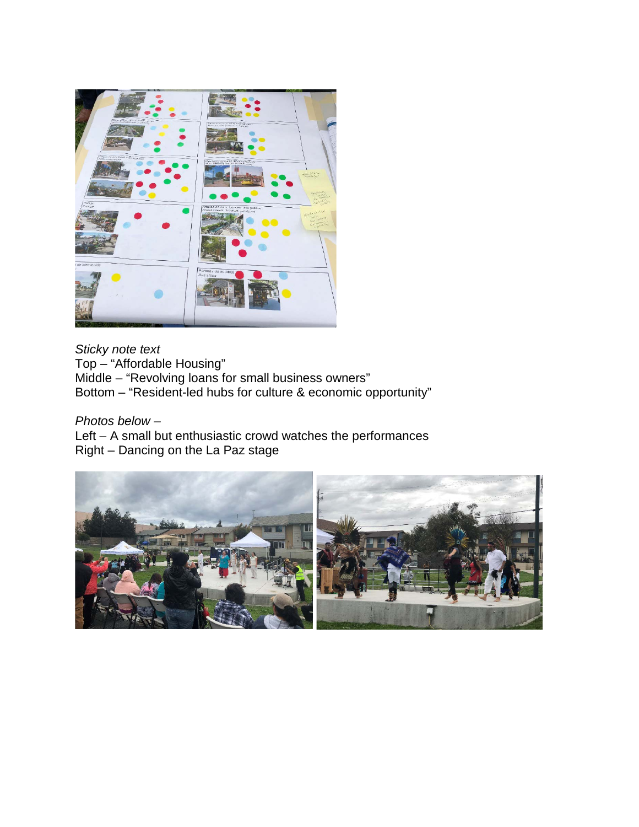

*Sticky note text* Top – "Affordable Housing" Middle – "Revolving loans for small business owners" Bottom – "Resident-led hubs for culture & economic opportunity"

*Photos below –* Left – A small but enthusiastic crowd watches the performances Right – Dancing on the La Paz stage

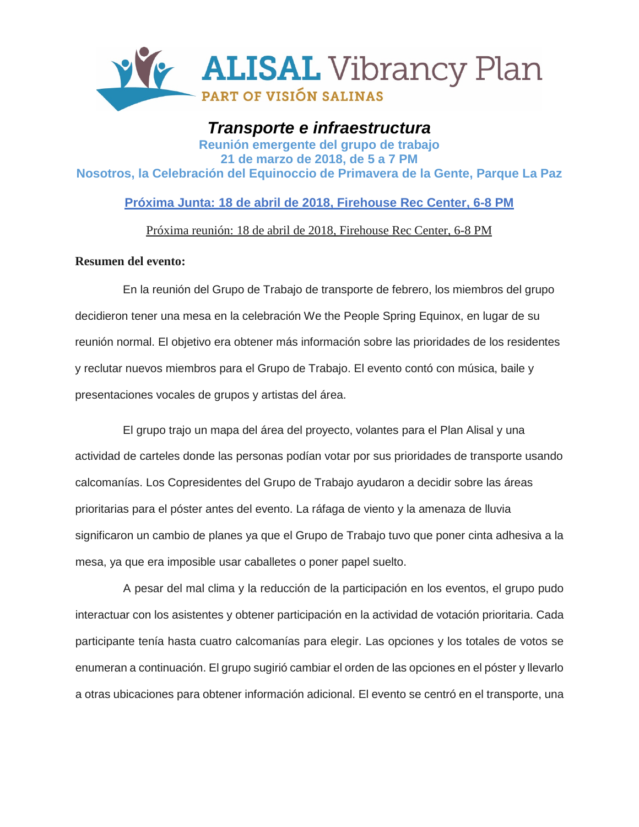

# *Transporte e infraestructura* **Reunión emergente del grupo de trabajo 21 de marzo de 2018, de 5 a 7 PM Nosotros, la Celebración del Equinoccio de Primavera de la Gente, Parque La Paz**

**Próxima Junta: 18 de abril de 2018, Firehouse Rec Center, 6-8 PM**

Próxima reunión: 18 de abril de 2018, Firehouse Rec Center, 6-8 PM

## **Resumen del evento:**

En la reunión del Grupo de Trabajo de transporte de febrero, los miembros del grupo decidieron tener una mesa en la celebración We the People Spring Equinox, en lugar de su reunión normal. El objetivo era obtener más información sobre las prioridades de los residentes y reclutar nuevos miembros para el Grupo de Trabajo. El evento contó con música, baile y presentaciones vocales de grupos y artistas del área.

El grupo trajo un mapa del área del proyecto, volantes para el Plan Alisal y una actividad de carteles donde las personas podían votar por sus prioridades de transporte usando calcomanías. Los Copresidentes del Grupo de Trabajo ayudaron a decidir sobre las áreas prioritarias para el póster antes del evento. La ráfaga de viento y la amenaza de lluvia significaron un cambio de planes ya que el Grupo de Trabajo tuvo que poner cinta adhesiva a la mesa, ya que era imposible usar caballetes o poner papel suelto.

A pesar del mal clima y la reducción de la participación en los eventos, el grupo pudo interactuar con los asistentes y obtener participación en la actividad de votación prioritaria. Cada participante tenía hasta cuatro calcomanías para elegir. Las opciones y los totales de votos se enumeran a continuación. El grupo sugirió cambiar el orden de las opciones en el póster y llevarlo a otras ubicaciones para obtener información adicional. El evento se centró en el transporte, una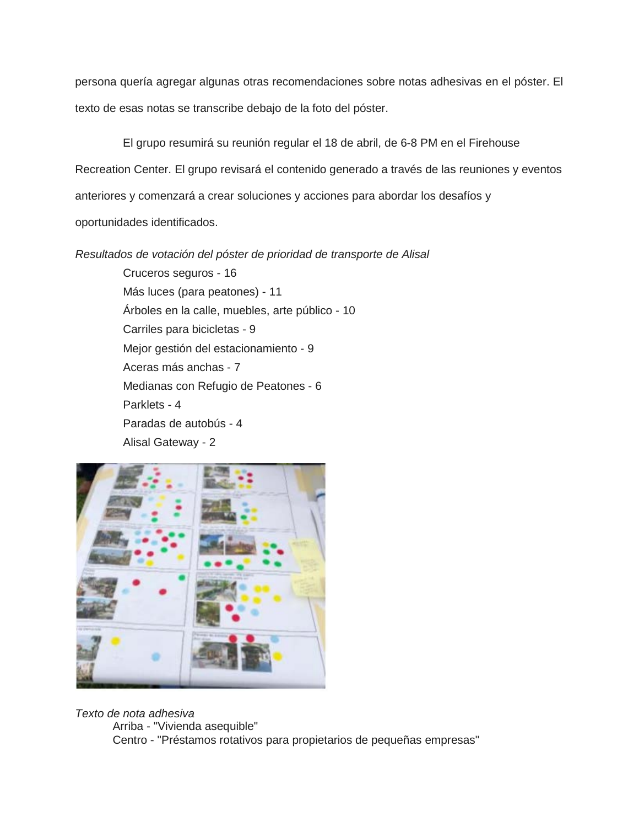persona quería agregar algunas otras recomendaciones sobre notas adhesivas en el póster. El texto de esas notas se transcribe debajo de la foto del póster.

El grupo resumirá su reunión regular el 18 de abril, de 6-8 PM en el Firehouse Recreation Center. El grupo revisará el contenido generado a través de las reuniones y eventos anteriores y comenzará a crear soluciones y acciones para abordar los desafíos y oportunidades identificados.

*Resultados de votación del póster de prioridad de transporte de Alisal* 

Cruceros seguros - 16 Más luces (para peatones) - 11 Árboles en la calle, muebles, arte público - 10 Carriles para bicicletas - 9 Mejor gestión del estacionamiento - 9 Aceras más anchas - 7 Medianas con Refugio de Peatones - 6 Parklets - 4 Paradas de autobús - 4 Alisal Gateway - 2



*Texto de nota adhesiva*  Arriba - "Vivienda asequible" Centro - "Préstamos rotativos para propietarios de pequeñas empresas"